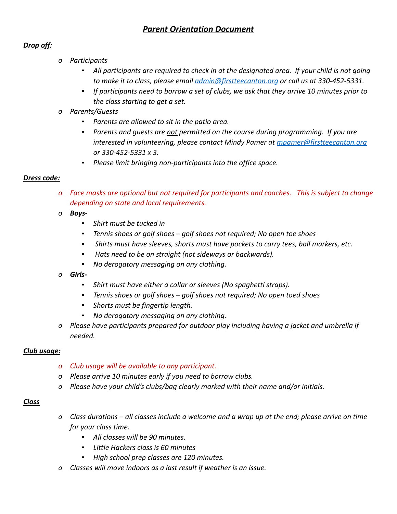# *Parent Orientation Document*

## *Drop off:*

- *o Participants*
	- *▪ All participants are required to check in at the designated area. If your child is not going to make it to class, please email [admin@firstteecanton.org](mailto:admin@firstteecanton.org) or call us at 330-452-5331.*
	- *▪ If participants need to borrow a set of clubs, we ask that they arrive 10 minutes prior to the class starting to get a set.*
- *o Parents/Guests*
	- *▪ Parents are allowed to sit in the patio area.*
	- *▪ Parents and guests are not permitted on the course during programming. If you are interested in volunteering, please contact Mindy Pamer at [mpamer@firstteecanton.org](mailto:mpamer@firstteecanton.org) or 330-452-5331 x 3.*
	- *▪ Please limit bringing non-participants into the office space.*

#### *Dress code:*

- *o Face masks are optional but not required for participants and coaches. This is subject to change depending on state and local requirements.*
- *o Boys-*
	- *▪ Shirt must be tucked in*
	- *▪ Tennis shoes or golf shoes golf shoes not required; No open toe shoes*
	- *▪ Shirts must have sleeves, shorts must have pockets to carry tees, ball markers, etc.*
	- *▪ Hats need to be on straight (not sideways or backwards).*
	- *▪ No derogatory messaging on any clothing.*
- *o Girls-*
	- *▪ Shirt must have either a collar or sleeves (No spaghetti straps).*
	- *▪ Tennis shoes or golf shoes golf shoes not required; No open toed shoes*
	- *▪ Shorts must be fingertip length.*
	- *▪ No derogatory messaging on any clothing.*
- *o Please have participants prepared for outdoor play including having a jacket and umbrella if needed.*

#### *Club usage:*

- *o Club usage will be available to any participant.*
- *o Please arrive 10 minutes early if you need to borrow clubs.*
- *o Please have your child's clubs/bag clearly marked with their name and/or initials.*

#### *Class*

- *o Class durations all classes include a welcome and a wrap up at the end; please arrive on time for your class time.*
	- *▪ All classes will be 90 minutes.*
	- *▪ Little Hackers class is 60 minutes*
	- *▪ High school prep classes are 120 minutes.*
- *o Classes will move indoors as a last result if weather is an issue.*